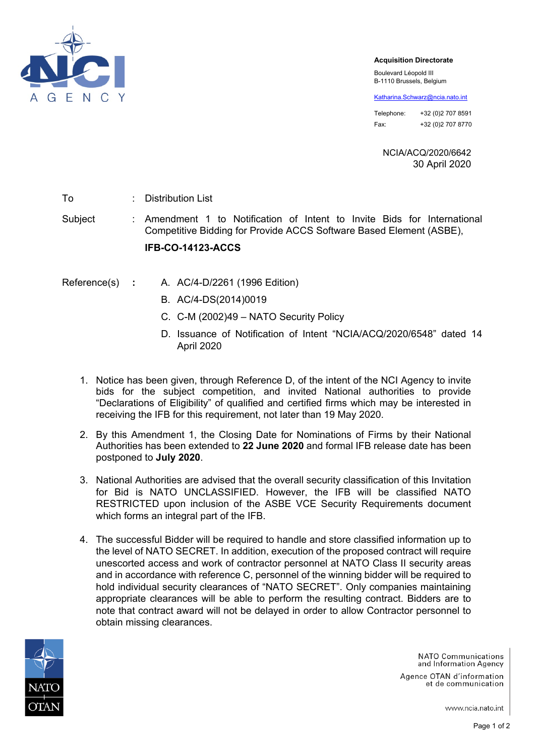

## **Acquisition Directorate**

Boulevard Léopold III B-1110 Brussels, Belgium

[Katharina.Schwarz@ncia.nato.int](mailto:Katharina.Schwarz@ncia.nato.int)

Telephone: +32 (0)2 707 8591 Fax: +32 (0)2 707 8770

NCIA/ACQ/2020/6642 30 April 2020

To : Distribution List

Subject : Amendment 1 to Notification of Intent to Invite Bids for International Competitive Bidding for Provide ACCS Software Based Element (ASBE),

## **IFB-CO-14123-ACCS**

- Reference(s) **:** A. AC/4-D/2261 (1996 Edition)
	- B. AC/4-DS(2014)0019
	- C. C-M (2002)49 NATO Security Policy
	- D. Issuance of Notification of Intent "NCIA/ACQ/2020/6548" dated 14 April 2020
	- 1. Notice has been given, through Reference D, of the intent of the NCI Agency to invite bids for the subject competition, and invited National authorities to provide "Declarations of Eligibility" of qualified and certified firms which may be interested in receiving the IFB for this requirement, not later than 19 May 2020.
	- 2. By this Amendment 1, the Closing Date for Nominations of Firms by their National Authorities has been extended to **22 June 2020** and formal IFB release date has been postponed to **July 2020**.
	- 3. National Authorities are advised that the overall security classification of this Invitation for Bid is NATO UNCLASSIFIED. However, the IFB will be classified NATO RESTRICTED upon inclusion of the ASBE VCE Security Requirements document which forms an integral part of the IFB.
	- 4. The successful Bidder will be required to handle and store classified information up to the level of NATO SECRET. In addition, execution of the proposed contract will require unescorted access and work of contractor personnel at NATO Class II security areas and in accordance with reference C, personnel of the winning bidder will be required to hold individual security clearances of "NATO SECRET". Only companies maintaining appropriate clearances will be able to perform the resulting contract. Bidders are to note that contract award will not be delayed in order to allow Contractor personnel to obtain missing clearances.



NATO Communications and Information Agency

Agence OTAN d'information et de communication

www.ncia.nato.int